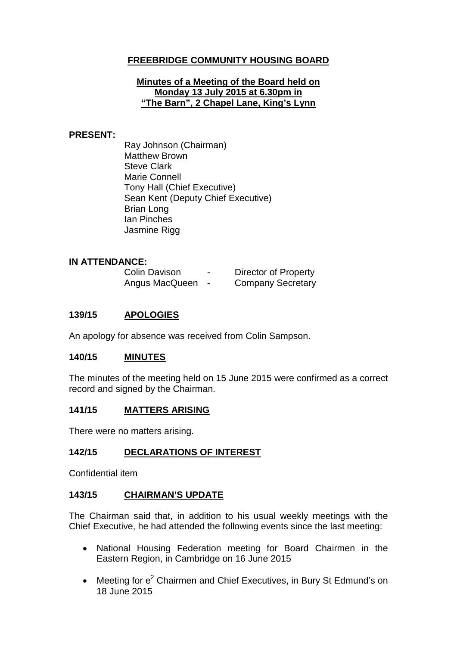# **FREEBRIDGE COMMUNITY HOUSING BOARD**

### **Minutes of a Meeting of the Board held on Monday 13 July 2015 at 6.30pm in "The Barn", 2 Chapel Lane, King's Lynn**

### **PRESENT:**

Ray Johnson (Chairman) Matthew Brown Steve Clark Marie Connell Tony Hall (Chief Executive) Sean Kent (Deputy Chief Executive) Brian Long Ian Pinches Jasmine Rigg

### **IN ATTENDANCE:**

| <b>Colin Davison</b> | - | <b>Director of Property</b> |
|----------------------|---|-----------------------------|
| Angus MacQueen       |   | <b>Company Secretary</b>    |

## **139/15 APOLOGIES**

An apology for absence was received from Colin Sampson.

## **140/15 MINUTES**

The minutes of the meeting held on 15 June 2015 were confirmed as a correct record and signed by the Chairman.

## **141/15 MATTERS ARISING**

There were no matters arising.

## **142/15 DECLARATIONS OF INTEREST**

Confidential item

## **143/15 CHAIRMAN'S UPDATE**

The Chairman said that, in addition to his usual weekly meetings with the Chief Executive, he had attended the following events since the last meeting:

- National Housing Federation meeting for Board Chairmen in the Eastern Region, in Cambridge on 16 June 2015
- Meeting for  $e^2$  Chairmen and Chief Executives, in Bury St Edmund's on 18 June 2015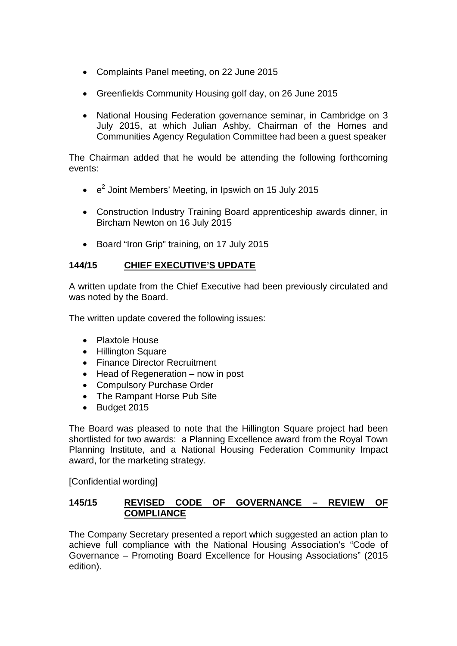- Complaints Panel meeting, on 22 June 2015
- Greenfields Community Housing golf day, on 26 June 2015
- National Housing Federation governance seminar, in Cambridge on 3 July 2015, at which Julian Ashby, Chairman of the Homes and Communities Agency Regulation Committee had been a guest speaker

The Chairman added that he would be attending the following forthcoming events:

- $\cdot$   $e^2$  Joint Members' Meeting, in Ipswich on 15 July 2015
- Construction Industry Training Board apprenticeship awards dinner, in Bircham Newton on 16 July 2015
- Board "Iron Grip" training, on 17 July 2015

# **144/15 CHIEF EXECUTIVE'S UPDATE**

A written update from the Chief Executive had been previously circulated and was noted by the Board.

The written update covered the following issues:

- Plaxtole House
- Hillington Square
- Finance Director Recruitment
- Head of Regeneration now in post
- Compulsory Purchase Order
- The Rampant Horse Pub Site
- Budget 2015

The Board was pleased to note that the Hillington Square project had been shortlisted for two awards: a Planning Excellence award from the Royal Town Planning Institute, and a National Housing Federation Community Impact award, for the marketing strategy.

[Confidential wording]

## **145/15 REVISED CODE OF GOVERNANCE – REVIEW OF COMPLIANCE**

The Company Secretary presented a report which suggested an action plan to achieve full compliance with the National Housing Association's "Code of Governance – Promoting Board Excellence for Housing Associations" (2015 edition).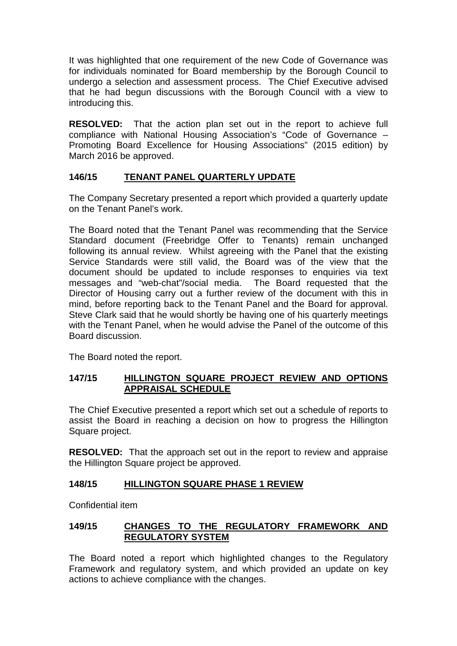It was highlighted that one requirement of the new Code of Governance was for individuals nominated for Board membership by the Borough Council to undergo a selection and assessment process. The Chief Executive advised that he had begun discussions with the Borough Council with a view to introducing this.

**RESOLVED:** That the action plan set out in the report to achieve full compliance with National Housing Association's "Code of Governance – Promoting Board Excellence for Housing Associations" (2015 edition) by March 2016 be approved.

# **146/15 TENANT PANEL QUARTERLY UPDATE**

The Company Secretary presented a report which provided a quarterly update on the Tenant Panel's work.

The Board noted that the Tenant Panel was recommending that the Service Standard document (Freebridge Offer to Tenants) remain unchanged following its annual review. Whilst agreeing with the Panel that the existing Service Standards were still valid, the Board was of the view that the document should be updated to include responses to enquiries via text messages and "web-chat"/social media. The Board requested that the Director of Housing carry out a further review of the document with this in mind, before reporting back to the Tenant Panel and the Board for approval. Steve Clark said that he would shortly be having one of his quarterly meetings with the Tenant Panel, when he would advise the Panel of the outcome of this Board discussion.

The Board noted the report.

## **147/15 HILLINGTON SQUARE PROJECT REVIEW AND OPTIONS APPRAISAL SCHEDULE**

The Chief Executive presented a report which set out a schedule of reports to assist the Board in reaching a decision on how to progress the Hillington Square project.

**RESOLVED:** That the approach set out in the report to review and appraise the Hillington Square project be approved.

# **148/15 HILLINGTON SQUARE PHASE 1 REVIEW**

Confidential item

## **149/15 CHANGES TO THE REGULATORY FRAMEWORK AND REGULATORY SYSTEM**

The Board noted a report which highlighted changes to the Regulatory Framework and regulatory system, and which provided an update on key actions to achieve compliance with the changes.